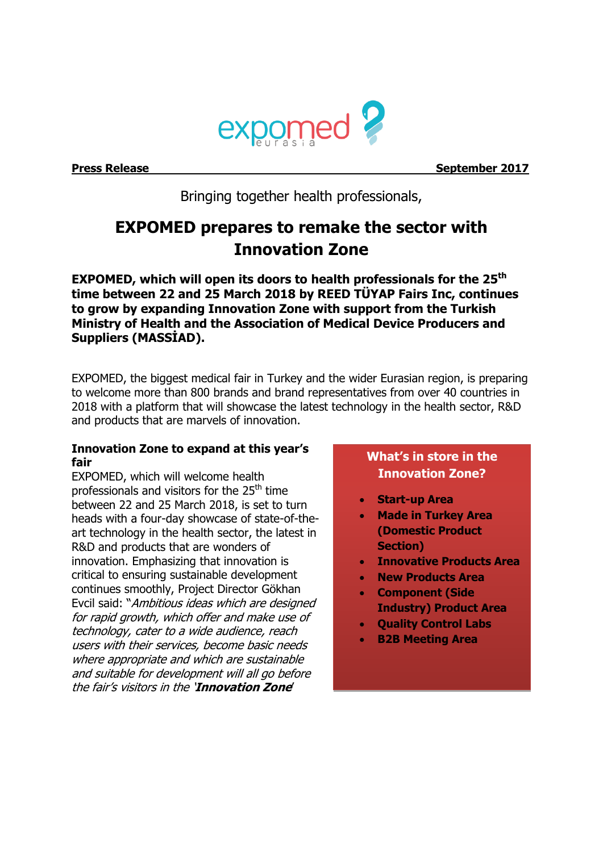

**Press Release September 2017** 

Bringing together health professionals,

# **EXPOMED prepares to remake the sector with Innovation Zone**

**EXPOMED, which will open its doors to health professionals for the 25th time between 22 and 25 March 2018 by REED TÜYAP Fairs Inc, continues to grow by expanding Innovation Zone with support from the Turkish Ministry of Health and the Association of Medical Device Producers and Suppliers (MASSİAD).**

EXPOMED, the biggest medical fair in Turkey and the wider Eurasian region, is preparing to welcome more than 800 brands and brand representatives from over 40 countries in 2018 with a platform that will showcase the latest technology in the health sector, R&D and products that are marvels of innovation.

# **Innovation Zone to expand at this year's fair**

EXPOMED, which will welcome health professionals and visitors for the 25<sup>th</sup> time between 22 and 25 March 2018, is set to turn heads with a four-day showcase of state-of-theart technology in the health sector, the latest in R&D and products that are wonders of innovation. Emphasizing that innovation is critical to ensuring sustainable development continues smoothly, Project Director Gökhan Evcil said: "Ambitious ideas which are designed for rapid growth, which offer and make use of technology, cater to a wide audience, reach users with their services, become basic needs where appropriate and which are sustainable and suitable for development will all go before the fair's visitors in the '**Innovation Zone**'

# **What's in store in the Innovation Zone?**

- **Start-up Area**
- **Made in Turkey Area (Domestic Product Section)**
- **Innovative Products Area**
- **New Products Area**
- **Component (Side Industry) Product Area**
- **Quality Control Labs**
- **B2B Meeting Area**